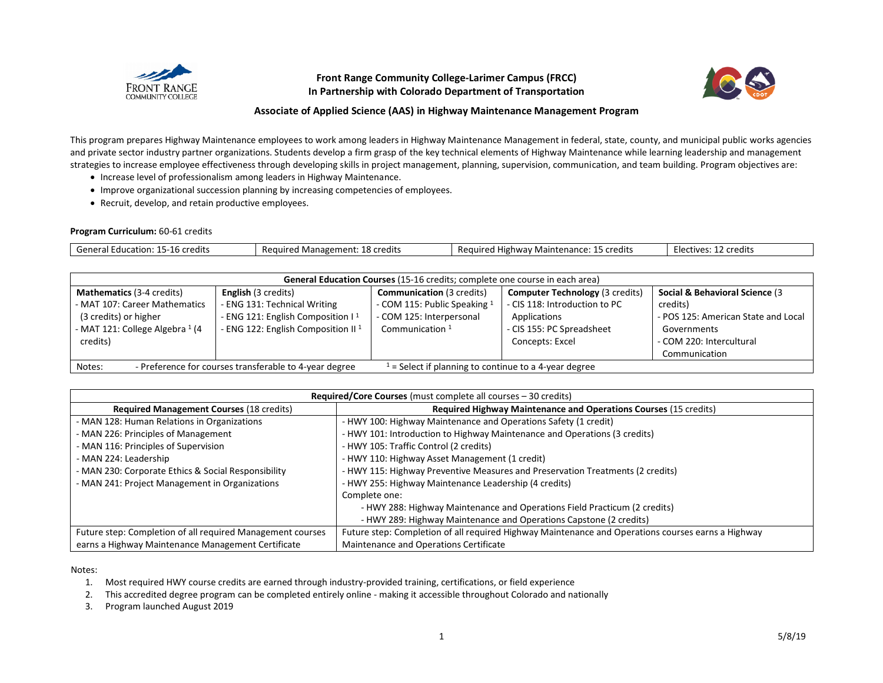

## **Front Range Community College-Larimer Campus (FRCC) In Partnership with Colorado Department of Transportation**



## **Associate of Applied Science (AAS) in Highway Maintenance Management Program**

This program prepares Highway Maintenance employees to work among leaders in Highway Maintenance Management in federal, state, county, and municipal public works agencies and private sector industry partner organizations. Students develop a firm grasp of the key technical elements of Highway Maintenance while learning leadership and management strategies to increase employee effectiveness through developing skills in project management, planning, supervision, communication, and team building. Program objectives are:

- Increase level of professionalism among leaders in Highway Maintenance.
- Improve organizational succession planning by increasing competencies of employees.
- Recruit, develop, and retain productive employees.

## **Program Curriculum:** 60-61 credits

| Genere'<br>redits*<br>Education<br>¬-⊥o ∟. | .<br>. Managemen'<br>' credits<br>.auired<br>$\sim$<br>г. н | $\cdots$<br>credits<br><b>Mighwa</b><br>Require<br>ainter.<br>'י ∩י<br>ivi a | ` credits<br>-Eler<br><b>TIVAS</b> |
|--------------------------------------------|-------------------------------------------------------------|------------------------------------------------------------------------------|------------------------------------|

| General Education Courses (15-16 credits; complete one course in each area)                                                           |                                                |                                  |                                        |                                     |  |
|---------------------------------------------------------------------------------------------------------------------------------------|------------------------------------------------|----------------------------------|----------------------------------------|-------------------------------------|--|
| <b>Mathematics (3-4 credits)</b>                                                                                                      | <b>English</b> (3 credits)                     | <b>Communication (3 credits)</b> | <b>Computer Technology (3 credits)</b> | Social & Behavioral Science (3      |  |
| - MAT 107: Career Mathematics                                                                                                         | - ENG 131: Technical Writing                   | - COM 115: Public Speaking 1     | - CIS 118: Introduction to PC          | credits)                            |  |
| (3 credits) or higher                                                                                                                 | - ENG 121: English Composition I <sup>1</sup>  | - COM 125: Interpersonal         | Applications                           | - POS 125: American State and Local |  |
| - MAT 121: College Algebra 1 (4                                                                                                       | - ENG 122: English Composition II <sup>1</sup> | Communication $1$                | - CIS 155: PC Spreadsheet              | Governments                         |  |
| credits)                                                                                                                              |                                                |                                  | Concepts: Excel                        | - COM 220: Intercultural            |  |
|                                                                                                                                       |                                                |                                  |                                        | Communication                       |  |
| $\frac{1}{2}$ = Select if planning to continue to a 4-year degree<br>- Preference for courses transferable to 4-year degree<br>Notes: |                                                |                                  |                                        |                                     |  |

| <b>Required/Core Courses</b> (must complete all courses – 30 credits) |                                                                                                    |  |  |  |
|-----------------------------------------------------------------------|----------------------------------------------------------------------------------------------------|--|--|--|
| <b>Required Management Courses (18 credits)</b>                       | <b>Required Highway Maintenance and Operations Courses (15 credits)</b>                            |  |  |  |
| - MAN 128: Human Relations in Organizations                           | - HWY 100: Highway Maintenance and Operations Safety (1 credit)                                    |  |  |  |
| - MAN 226: Principles of Management                                   | - HWY 101: Introduction to Highway Maintenance and Operations (3 credits)                          |  |  |  |
| - MAN 116: Principles of Supervision                                  | - HWY 105: Traffic Control (2 credits)                                                             |  |  |  |
| - MAN 224: Leadership                                                 | - HWY 110: Highway Asset Management (1 credit)                                                     |  |  |  |
| - MAN 230: Corporate Ethics & Social Responsibility                   | - HWY 115: Highway Preventive Measures and Preservation Treatments (2 credits)                     |  |  |  |
| - MAN 241: Project Management in Organizations                        | - HWY 255: Highway Maintenance Leadership (4 credits)                                              |  |  |  |
|                                                                       | Complete one:                                                                                      |  |  |  |
|                                                                       | - HWY 288: Highway Maintenance and Operations Field Practicum (2 credits)                          |  |  |  |
|                                                                       | - HWY 289: Highway Maintenance and Operations Capstone (2 credits)                                 |  |  |  |
| Future step: Completion of all required Management courses            | Future step: Completion of all required Highway Maintenance and Operations courses earns a Highway |  |  |  |
| earns a Highway Maintenance Management Certificate                    | Maintenance and Operations Certificate                                                             |  |  |  |

Notes:

1. Most required HWY course credits are earned through industry-provided training, certifications, or field experience

2. This accredited degree program can be completed entirely online - making it accessible throughout Colorado and nationally

3. Program launched August 2019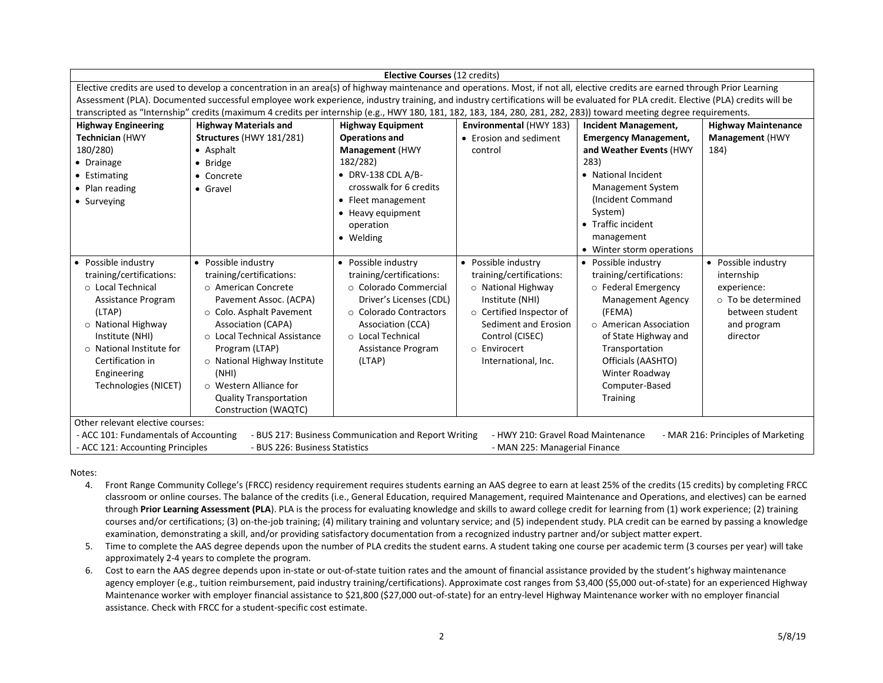| Elective Courses (12 credits)                                                                                                                                             |                                                                                                                                                                                   |                            |                          |                              |                            |  |
|---------------------------------------------------------------------------------------------------------------------------------------------------------------------------|-----------------------------------------------------------------------------------------------------------------------------------------------------------------------------------|----------------------------|--------------------------|------------------------------|----------------------------|--|
|                                                                                                                                                                           | Elective credits are used to develop a concentration in an area(s) of highway maintenance and operations. Most, if not all, elective credits are earned through Prior Learning    |                            |                          |                              |                            |  |
|                                                                                                                                                                           | Assessment (PLA). Documented successful employee work experience, industry training, and industry certifications will be evaluated for PLA credit. Elective (PLA) credits will be |                            |                          |                              |                            |  |
|                                                                                                                                                                           | transcripted as "Internship" credits (maximum 4 credits per internship (e.g., HWY 180, 181, 182, 183, 184, 280, 281, 282, 283)) toward meeting degree requirements.               |                            |                          |                              |                            |  |
| <b>Highway Engineering</b>                                                                                                                                                | <b>Highway Materials and</b>                                                                                                                                                      | <b>Highway Equipment</b>   | Environmental (HWY 183)  | <b>Incident Management,</b>  | <b>Highway Maintenance</b> |  |
| <b>Technician (HWY</b>                                                                                                                                                    | Structures (HWY 181/281)                                                                                                                                                          | <b>Operations and</b>      | • Erosion and sediment   | <b>Emergency Management,</b> | <b>Management</b> (HWY     |  |
| 180/280)                                                                                                                                                                  | • Asphalt                                                                                                                                                                         | <b>Management</b> (HWY     | control                  | and Weather Events (HWY      | 184)                       |  |
| • Drainage                                                                                                                                                                | • Bridge                                                                                                                                                                          | 182/282)                   |                          | 283)                         |                            |  |
| • Estimating                                                                                                                                                              | • Concrete                                                                                                                                                                        | $\bullet$ DRV-138 CDL A/B- |                          | • National Incident          |                            |  |
| • Plan reading                                                                                                                                                            | $\bullet$ Gravel                                                                                                                                                                  | crosswalk for 6 credits    |                          | <b>Management System</b>     |                            |  |
| • Surveying                                                                                                                                                               |                                                                                                                                                                                   | • Fleet management         |                          | (Incident Command            |                            |  |
|                                                                                                                                                                           |                                                                                                                                                                                   | • Heavy equipment          |                          | System)                      |                            |  |
|                                                                                                                                                                           |                                                                                                                                                                                   | operation                  |                          | • Traffic incident           |                            |  |
|                                                                                                                                                                           |                                                                                                                                                                                   | • Welding                  |                          | management                   |                            |  |
|                                                                                                                                                                           |                                                                                                                                                                                   |                            |                          | • Winter storm operations    |                            |  |
| • Possible industry                                                                                                                                                       | • Possible industry                                                                                                                                                               | • Possible industry        | • Possible industry      | • Possible industry          | • Possible industry        |  |
| training/certifications:                                                                                                                                                  | training/certifications:                                                                                                                                                          | training/certifications:   | training/certifications: | training/certifications:     | internship                 |  |
| ○ Local Technical                                                                                                                                                         | ○ American Concrete                                                                                                                                                               | ○ Colorado Commercial      | $\circ$ National Highway | o Federal Emergency          | experience:                |  |
| Assistance Program                                                                                                                                                        | Pavement Assoc. (ACPA)                                                                                                                                                            | Driver's Licenses (CDL)    | Institute (NHI)          | <b>Management Agency</b>     | o To be determined         |  |
| (LTAP)                                                                                                                                                                    | ○ Colo. Asphalt Pavement                                                                                                                                                          | ○ Colorado Contractors     | o Certified Inspector of | (FEMA)                       | between student            |  |
| o National Highway                                                                                                                                                        | <b>Association (CAPA)</b>                                                                                                                                                         | Association (CCA)          | Sediment and Erosion     | $\circ$ American Association | and program                |  |
| Institute (NHI)                                                                                                                                                           | ○ Local Technical Assistance                                                                                                                                                      | o Local Technical          | Control (CISEC)          | of State Highway and         | director                   |  |
| ○ National Institute for                                                                                                                                                  | Program (LTAP)                                                                                                                                                                    | Assistance Program         | o Envirocert             | Transportation               |                            |  |
| Certification in                                                                                                                                                          | o National Highway Institute                                                                                                                                                      | (LTAP)                     | International, Inc.      | Officials (AASHTO)           |                            |  |
| Engineering                                                                                                                                                               | (NHI)                                                                                                                                                                             |                            |                          | Winter Roadway               |                            |  |
| Technologies (NICET)                                                                                                                                                      | ○ Western Alliance for                                                                                                                                                            |                            |                          | Computer-Based               |                            |  |
|                                                                                                                                                                           | <b>Quality Transportation</b>                                                                                                                                                     |                            |                          | Training                     |                            |  |
| Construction (WAQTC)                                                                                                                                                      |                                                                                                                                                                                   |                            |                          |                              |                            |  |
| Other relevant elective courses:                                                                                                                                          |                                                                                                                                                                                   |                            |                          |                              |                            |  |
| - BUS 217: Business Communication and Report Writing<br>- HWY 210: Gravel Road Maintenance<br>- ACC 101: Fundamentals of Accounting<br>- MAR 216: Principles of Marketing |                                                                                                                                                                                   |                            |                          |                              |                            |  |
| - ACC 121: Accounting Principles<br>- BUS 226: Business Statistics<br>- MAN 225: Managerial Finance                                                                       |                                                                                                                                                                                   |                            |                          |                              |                            |  |

Notes:

- 4. Front Range Community College's (FRCC) residency requirement requires students earning an AAS degree to earn at least 25% of the credits (15 credits) by completing FRCC classroom or online courses. The balance of the credits (i.e., General Education, required Management, required Maintenance and Operations, and electives) can be earned through **Prior Learning Assessment (PLA**). PLA is the process for evaluating knowledge and skills to award college credit for learning from (1) work experience; (2) training courses and/or certifications; (3) on-the-job training; (4) military training and voluntary service; and (5) independent study. PLA credit can be earned by passing a knowledge examination, demonstrating a skill, and/or providing satisfactory documentation from a recognized industry partner and/or subject matter expert.
- 5. Time to complete the AAS degree depends upon the number of PLA credits the student earns. A student taking one course per academic term (3 courses per year) will take approximately 2-4 years to complete the program.
- 6. Cost to earn the AAS degree depends upon in-state or out-of-state tuition rates and the amount of financial assistance provided by the student's highway maintenance agency employer (e.g., tuition reimbursement, paid industry training/certifications). Approximate cost ranges from \$3,400 (\$5,000 out-of-state) for an experienced Highway Maintenance worker with employer financial assistance to \$21,800 (\$27,000 out-of-state) for an entry-level Highway Maintenance worker with no employer financial assistance. Check with FRCC for a student-specific cost estimate.